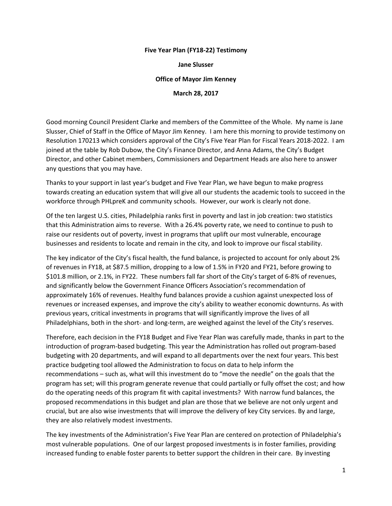## **Five Year Plan (FY18-22) Testimony**

**Jane Slusser** 

## **Office of Mayor Jim Kenney**

**March 28, 2017** 

Good morning Council President Clarke and members of the Committee of the Whole. My name is Jane Slusser, Chief of Staff in the Office of Mayor Jim Kenney. I am here this morning to provide testimony on Resolution 170213 which considers approval of the City's Five Year Plan for Fiscal Years 2018-2022. I am joined at the table by Rob Dubow, the City's Finance Director, and Anna Adams, the City's Budget Director, and other Cabinet members, Commissioners and Department Heads are also here to answer any questions that you may have.

Thanks to your support in last year's budget and Five Year Plan, we have begun to make progress towards creating an education system that will give all our students the academic tools to succeed in the workforce through PHLpreK and community schools. However, our work is clearly not done.

Of the ten largest U.S. cities, Philadelphia ranks first in poverty and last in job creation: two statistics that this Administration aims to reverse. With a 26.4% poverty rate, we need to continue to push to raise our residents out of poverty, invest in programs that uplift our most vulnerable, encourage businesses and residents to locate and remain in the city, and look to improve our fiscal stability.

The key indicator of the City's fiscal health, the fund balance, is projected to account for only about 2% of revenues in FY18, at \$87.5 million, dropping to a low of 1.5% in FY20 and FY21, before growing to \$101.8 million, or 2.1%, in FY22. These numbers fall far short of the City's target of 6-8% of revenues, and significantly below the Government Finance Officers Association's recommendation of approximately 16% of revenues. Healthy fund balances provide a cushion against unexpected loss of revenues or increased expenses, and improve the city's ability to weather economic downturns. As with previous years, critical investments in programs that will significantly improve the lives of all Philadelphians, both in the short- and long-term, are weighed against the level of the City's reserves.

Therefore, each decision in the FY18 Budget and Five Year Plan was carefully made, thanks in part to the introduction of program-based budgeting. This year the Administration has rolled out program-based budgeting with 20 departments, and will expand to all departments over the next four years. This best practice budgeting tool allowed the Administration to focus on data to help inform the recommendations – such as, what will this investment do to "move the needle" on the goals that the program has set; will this program generate revenue that could partially or fully offset the cost; and how do the operating needs of this program fit with capital investments? With narrow fund balances, the proposed recommendations in this budget and plan are those that we believe are not only urgent and crucial, but are also wise investments that will improve the delivery of key City services. By and large, they are also relatively modest investments.

The key investments of the Administration's Five Year Plan are centered on protection of Philadelphia's most vulnerable populations. One of our largest proposed investments is in foster families, providing increased funding to enable foster parents to better support the children in their care. By investing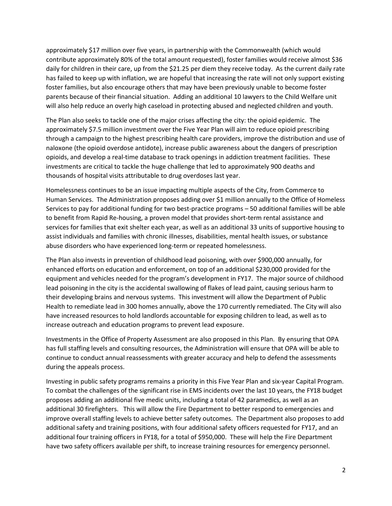approximately \$17 million over five years, in partnership with the Commonwealth (which would contribute approximately 80% of the total amount requested), foster families would receive almost \$36 daily for children in their care, up from the \$21.25 per diem they receive today. As the current daily rate has failed to keep up with inflation, we are hopeful that increasing the rate will not only support existing foster families, but also encourage others that may have been previously unable to become foster parents because of their financial situation. Adding an additional 10 lawyers to the Child Welfare unit will also help reduce an overly high caseload in protecting abused and neglected children and youth.

The Plan also seeks to tackle one of the major crises affecting the city: the opioid epidemic. The approximately \$7.5 million investment over the Five Year Plan will aim to reduce opioid prescribing through a campaign to the highest prescribing health care providers, improve the distribution and use of naloxone (the opioid overdose antidote), increase public awareness about the dangers of prescription opioids, and develop a real-time database to track openings in addiction treatment facilities. These investments are critical to tackle the huge challenge that led to approximately 900 deaths and thousands of hospital visits attributable to drug overdoses last year.

Homelessness continues to be an issue impacting multiple aspects of the City, from Commerce to Human Services. The Administration proposes adding over \$1 million annually to the Office of Homeless Services to pay for additional funding for two best-practice programs – 50 additional families will be able to benefit from Rapid Re-housing, a proven model that provides short-term rental assistance and services for families that exit shelter each year, as well as an additional 33 units of supportive housing to assist individuals and families with chronic illnesses, disabilities, mental health issues, or substance abuse disorders who have experienced long-term or repeated homelessness.

The Plan also invests in prevention of childhood lead poisoning, with over \$900,000 annually, for enhanced efforts on education and enforcement, on top of an additional \$230,000 provided for the equipment and vehicles needed for the program's development in FY17. The major source of childhood lead poisoning in the city is the accidental swallowing of flakes of lead paint, causing serious harm to their developing brains and nervous systems. This investment will allow the Department of Public Health to remediate lead in 300 homes annually, above the 170 currently remediated. The City will also have increased resources to hold landlords accountable for exposing children to lead, as well as to increase outreach and education programs to prevent lead exposure.

Investments in the Office of Property Assessment are also proposed in this Plan. By ensuring that OPA has full staffing levels and consulting resources, the Administration will ensure that OPA will be able to continue to conduct annual reassessments with greater accuracy and help to defend the assessments during the appeals process.

Investing in public safety programs remains a priority in this Five Year Plan and six-year Capital Program. To combat the challenges of the significant rise in EMS incidents over the last 10 years, the FY18 budget proposes adding an additional five medic units, including a total of 42 paramedics, as well as an additional 30 firefighters. This will allow the Fire Department to better respond to emergencies and improve overall staffing levels to achieve better safety outcomes. The Department also proposes to add additional safety and training positions, with four additional safety officers requested for FY17, and an additional four training officers in FY18, for a total of \$950,000. These will help the Fire Department have two safety officers available per shift, to increase training resources for emergency personnel.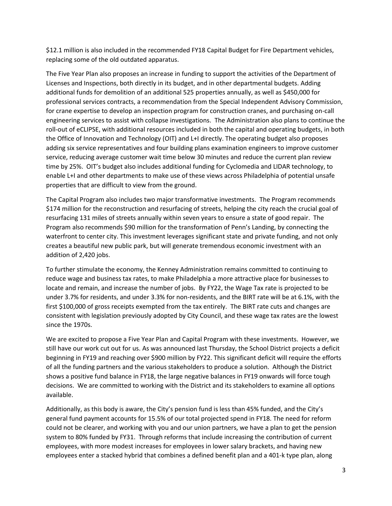\$12.1 million is also included in the recommended FY18 Capital Budget for Fire Department vehicles, replacing some of the old outdated apparatus.

The Five Year Plan also proposes an increase in funding to support the activities of the Department of Licenses and Inspections, both directly in its budget, and in other departmental budgets. Adding additional funds for demolition of an additional 525 properties annually, as well as \$450,000 for professional services contracts, a recommendation from the Special Independent Advisory Commission, for crane expertise to develop an inspection program for construction cranes, and purchasing on-call engineering services to assist with collapse investigations. The Administration also plans to continue the roll-out of eCLIPSE, with additional resources included in both the capital and operating budgets, in both the Office of Innovation and Technology (OIT) and L+I directly. The operating budget also proposes adding six service representatives and four building plans examination engineers to improve customer service, reducing average customer wait time below 30 minutes and reduce the current plan review time by 25%. OIT's budget also includes additional funding for Cyclomedia and LIDAR technology, to enable L+I and other departments to make use of these views across Philadelphia of potential unsafe properties that are difficult to view from the ground.

The Capital Program also includes two major transformative investments. The Program recommends \$174 million for the reconstruction and resurfacing of streets, helping the city reach the crucial goal of resurfacing 131 miles of streets annually within seven years to ensure a state of good repair. The Program also recommends \$90 million for the transformation of Penn's Landing, by connecting the waterfront to center city. This investment leverages significant state and private funding, and not only creates a beautiful new public park, but will generate tremendous economic investment with an addition of 2,420 jobs.

To further stimulate the economy, the Kenney Administration remains committed to continuing to reduce wage and business tax rates, to make Philadelphia a more attractive place for businesses to locate and remain, and increase the number of jobs. By FY22, the Wage Tax rate is projected to be under 3.7% for residents, and under 3.3% for non-residents, and the BIRT rate will be at 6.1%, with the first \$100,000 of gross receipts exempted from the tax entirely. The BIRT rate cuts and changes are consistent with legislation previously adopted by City Council, and these wage tax rates are the lowest since the 1970s.

We are excited to propose a Five Year Plan and Capital Program with these investments. However, we still have our work cut out for us. As was announced last Thursday, the School District projects a deficit beginning in FY19 and reaching over \$900 million by FY22. This significant deficit will require the efforts of all the funding partners and the various stakeholders to produce a solution. Although the District shows a positive fund balance in FY18, the large negative balances in FY19 onwards will force tough decisions. We are committed to working with the District and its stakeholders to examine all options available.

Additionally, as this body is aware, the City's pension fund is less than 45% funded, and the City's general fund payment accounts for 15.5% of our total projected spend in FY18. The need for reform could not be clearer, and working with you and our union partners, we have a plan to get the pension system to 80% funded by FY31. Through reforms that include increasing the contribution of current employees, with more modest increases for employees in lower salary brackets, and having new employees enter a stacked hybrid that combines a defined benefit plan and a 401-k type plan, along